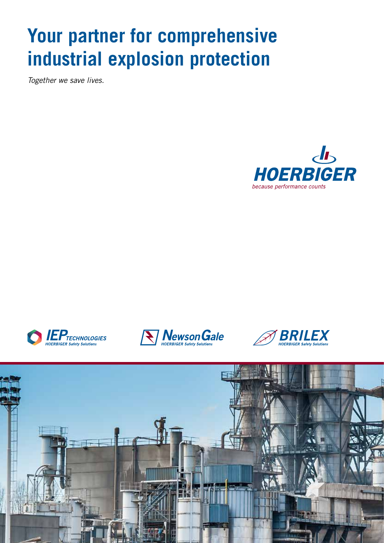# **Your partner for comprehensive industrial explosion protection**

*Together we save lives.*









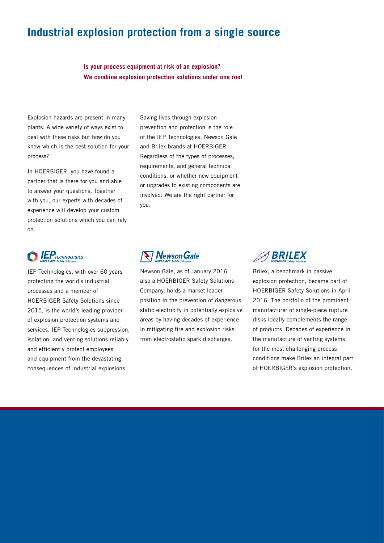### **Industrial explosion protection from a single source**

**Is your process equipment at risk of an explosion? We combine explosion protection solutions under one roof**

Explosion hazards are present in many plants. A wide variety of ways exist to deal with these risks but how do you know which is the best solution for your process?

In HOERBIGER, you have found a partner that is there for you and able to answer your questions. Together with you, our experts with decades of experience will develop your custom protection solutions which you can rely on.

Saving lives through explosion prevention and protection is the role of the IEP Technologies, Newson Gale and Brilex brands at HOERBIGER. Regardless of the types of processes, requirements, and general technical conditions, or whether new equipment or upgrades to existing components are involved: We are the right partner for you.

### $\textit{IEP}_{\textit{\tiny TECHNOLOGIES}}$

IEP Technologies, with over 60 years protecting the world's industrial processes and a member of HOERBIGER Safety Solutions since 2015, is the world's leading provider of explosion protection systems and services. IEP Technologies suppression, isolation, and venting solutions reliably and efficiently protect employees and equipment from the devastating consequences of industrial explosions.

### $\sqrt{N}$  Newson Gale

Newson Gale, as of January 2016 also a HOERBIGER Safety Solutions Company, holds a market leader position in the prevention of dangerous static electricity in potentially explosive areas by having decades of experience in mitigating fire and explosion risks from electrostatic spark discharges.

# *BRILEX*

Brilex, a benchmark in passive explosion protection, became part of HOERBIGER Safety Solutions in April 2016. The portfolio of the prominent manufacturer of single-piece rupture disks ideally complements the range of products. Decades of experience in the manufacture of venting systems for the most challenging process conditions make Brilex an integral part of HOERBIGER's explosion protection.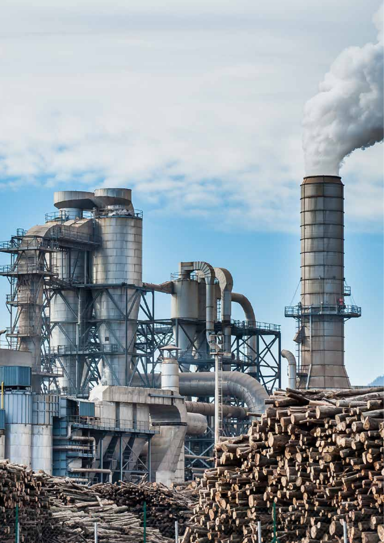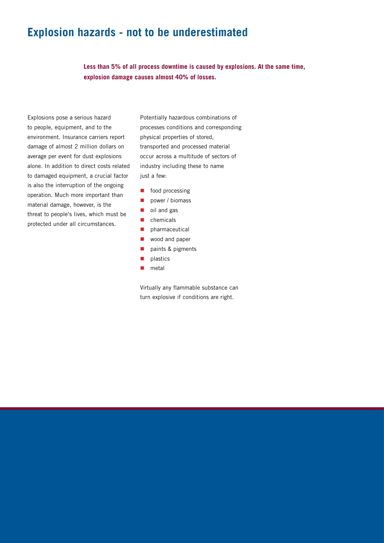### **Explosion hazards - not to be underestimated**

**Less than 5% of all process downtime is caused by explosions. At the same time, explosion damage causes almost 40% of losses.** 

Explosions pose a serious hazard to people, equipment, and to the environment. Insurance carriers report damage of almost 2 million dollars on average per event for dust explosions alone. In addition to direct costs related to damaged equipment, a crucial factor is also the interruption of the ongoing operation. Much more important than material damage, however, is the threat to people's lives, which must be protected under all circumstances.

Potentially hazardous combinations of processes conditions and corresponding physical properties of stored, transported and processed material occur across a multitude of sectors of industry including these to name just a few:

- **n** food processing
- power / biomass
- oil and gas
- **n** chemicals
- **n** pharmaceutical
- **N** wood and paper
- paints & pigments
- **n** plastics
- $\blacksquare$  metal

Virtually any flammable substance can turn explosive if conditions are right.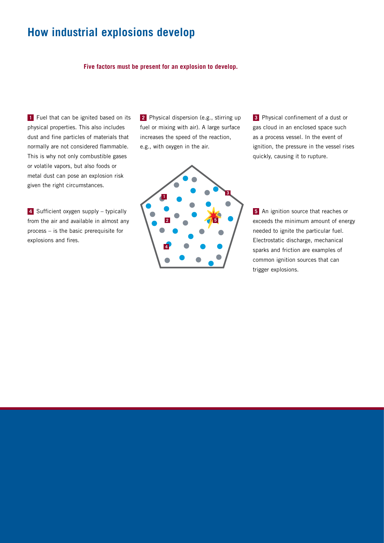### **How industrial explosions develop**

**Five factors must be present for an explosion to develop.**

**1** Fuel that can be ignited based on its physical properties. This also includes dust and fine particles of materials that normally are not considered flammable. This is why not only combustible gases or volatile vapors, but also foods or metal dust can pose an explosion risk given the right circumstances.

**4** Sufficient oxygen supply – typically from the air and available in almost any process – is the basic prerequisite for explosions and fires.

**2** Physical dispersion (e.g., stirring up fuel or mixing with air). A large surface increases the speed of the reaction, e.g., with oxygen in the air.



**3** Physical confinement of a dust or gas cloud in an enclosed space such as a process vessel. In the event of ignition, the pressure in the vessel rises quickly, causing it to rupture.

**5** An ignition source that reaches or exceeds the minimum amount of energy needed to ignite the particular fuel. Electrostatic discharge, mechanical sparks and friction are examples of common ignition sources that can trigger explosions.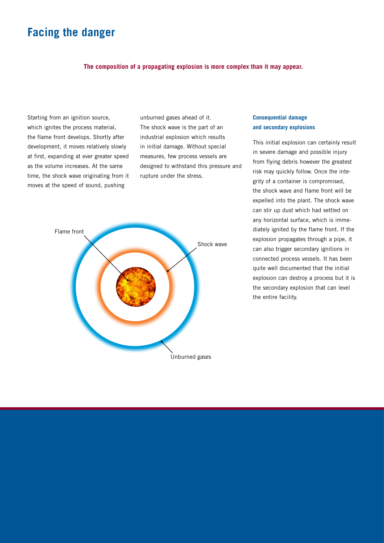### **Facing the danger**

#### **The composition of a propagating explosion is more complex than it may appear.**

Starting from an ignition source, which ignites the process material, the flame front develops. Shortly after development, it moves relatively slowly at first, expanding at ever greater speed as the volume increases. At the same time, the shock wave originating from it moves at the speed of sound, pushing

unburned gases ahead of it. The shock wave is the part of an industrial explosion which results in initial damage. Without special measures, few process vessels are designed to withstand this pressure and rupture under the stress.



### **Consequential damage and secondary explosions**

This initial explosion can certainly result in severe damage and possible injury from flying debris however the greatest risk may quickly follow. Once the integrity of a container is compromised, the shock wave and flame front will be expelled into the plant. The shock wave can stir up dust which had settled on any horizontal surface, which is immediately ignited by the flame front. If the explosion propagates through a pipe, it can also trigger secondary ignitions in connected process vessels. It has been quite well documented that the initial explosion can destroy a process but it is the secondary explosion that can level the entire facility.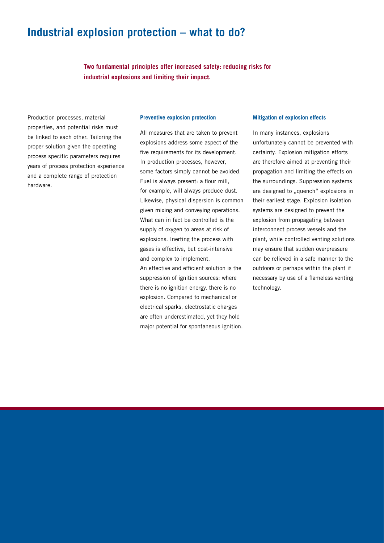### **Industrial explosion protection – what to do?**

**Two fundamental principles offer increased safety: reducing risks for industrial explosions and limiting their impact.**

Production processes, material properties, and potential risks must be linked to each other. Tailoring the proper solution given the operating process specific parameters requires years of process protection experience and a complete range of protection hardware.

#### **Preventive explosion protection**

All measures that are taken to prevent explosions address some aspect of the five requirements for its development. In production processes, however, some factors simply cannot be avoided. Fuel is always present: a flour mill, for example, will always produce dust. Likewise, physical dispersion is common given mixing and conveying operations. What can in fact be controlled is the supply of oxygen to areas at risk of explosions. Inerting the process with gases is effective, but cost-intensive and complex to implement. An effective and efficient solution is the suppression of ignition sources: where there is no ignition energy, there is no explosion. Compared to mechanical or electrical sparks, electrostatic charges are often underestimated, yet they hold major potential for spontaneous ignition.

#### **Mitigation of explosion effects**

In many instances, explosions unfortunately cannot be prevented with certainty. Explosion mitigation efforts are therefore aimed at preventing their propagation and limiting the effects on the surroundings. Suppression systems are designed to "quench" explosions in their earliest stage. Explosion isolation systems are designed to prevent the explosion from propagating between interconnect process vessels and the plant, while controlled venting solutions may ensure that sudden overpressure can be relieved in a safe manner to the outdoors or perhaps within the plant if necessary by use of a flameless venting technology.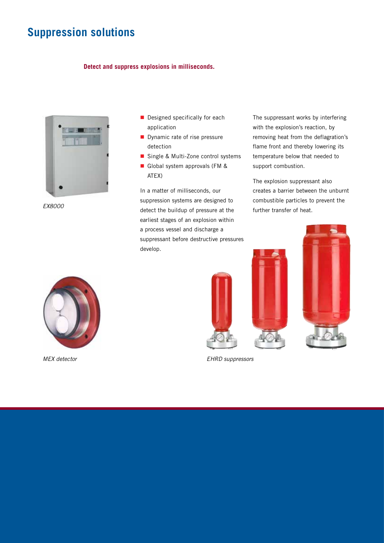### **Suppression solutions**

### **Detect and suppress explosions in milliseconds.**



*EX8000*

- Designed specifically for each application
- Dynamic rate of rise pressure detection
- Single & Multi-Zone control systems
- Global system approvals (FM & ATEX)

In a matter of milliseconds, our suppression systems are designed to detect the buildup of pressure at the earliest stages of an explosion within a process vessel and discharge a suppressant before destructive pressures develop.

The suppressant works by interfering with the explosion's reaction, by removing heat from the deflagration's flame front and thereby lowering its temperature below that needed to support combustion.

The explosion suppressant also creates a barrier between the unburnt combustible particles to prevent the further transfer of heat.







*MEX detector EHRD suppressors*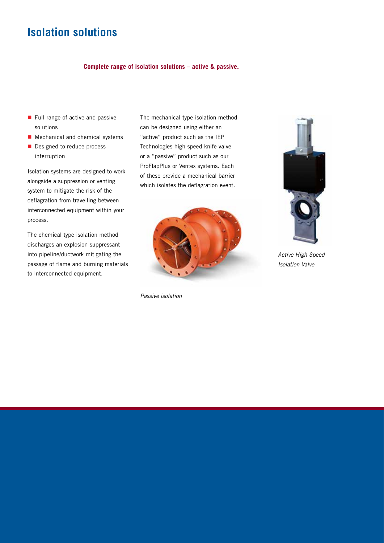### **Isolation solutions**

#### **Complete range of isolation solutions – active & passive.**

- Full range of active and passive solutions
- $\blacksquare$  Mechanical and chemical systems
- Designed to reduce process interruption

Isolation systems are designed to work alongside a suppression or venting system to mitigate the risk of the deflagration from travelling between interconnected equipment within your process.

The chemical type isolation method discharges an explosion suppressant into pipeline/ductwork mitigating the passage of flame and burning materials to interconnected equipment.

The mechanical type isolation method can be designed using either an "active" product such as the IEP Technologies high speed knife valve or a "passive" product such as our ProFlapPlus or Ventex systems. Each of these provide a mechanical barrier which isolates the deflagration event.



*Passive isolation*



*Active High Speed Isolation Valve*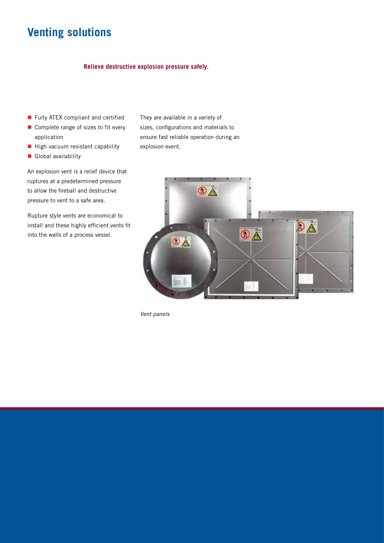# **Venting solutions**

### **Relieve destructive explosion pressure safely.**

- Fully ATEX compliant and certified
- Complete range of sizes to fit every application
- $\blacksquare$  High vacuum resistant capability
- Global availability

An explosion vent is a relief device that ruptures at a predetermined pressure to allow the fireball and destructive pressure to vent to a safe area.

Rupture style vents are economical to install and these highly efficient vents fit into the walls of a process vessel.

They are available in a variety of sizes, configurations and materials to ensure fast reliable operation during an explosion event.



*Vent panels*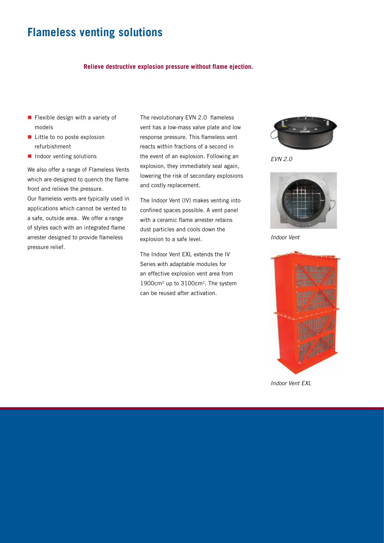### **Flameless venting solutions**

**Relieve destructive explosion pressure without flame ejection.**

- $\blacksquare$  Flexible design with a variety of models
- $\blacksquare$  Little to no poste explosion refurbishment
- Indoor venting solutions

We also offer a range of Flameless Vents which are designed to quench the flame front and relieve the pressure. Our flameless vents are typically used in applications which cannot be vented to a safe, outside area. We offer a range of styles each with an integrated flame arrester designed to provide flameless pressure relief.

The revolutionary EVN 2.0 flameless vent has a low-mass valve plate and low response pressure. This flameless vent reacts within fractions of a second in the event of an explosion. Following an explosion, they immediately seal again, lowering the risk of secondary explosions and costly replacement.

The Indoor Vent (IV) makes venting into confined spaces possible. A vent panel with a ceramic flame arrester retains dust particles and cools down the explosion to a safe level.

The Indoor Vent EXL extends the IV Series with adaptable modules for an effective explosion vent area from 1900cm2 up to 3100cm2. The system can be reused after activation.



*EVN 2.0*



*Indoor Vent*



*Indoor Vent EXL*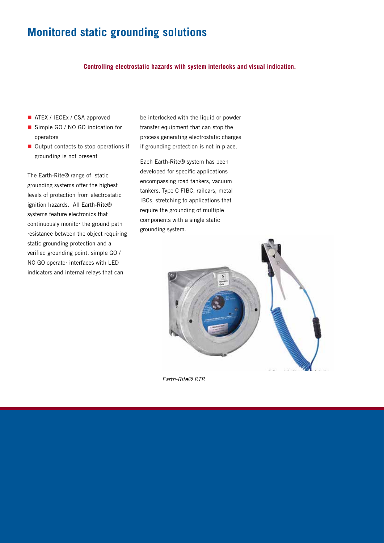### **Monitored static grounding solutions**

**Controlling electrostatic hazards with system interlocks and visual indication.** 

- ATEX / IECEx / CSA approved
- Simple GO / NO GO indication for operators
- Output contacts to stop operations if grounding is not present

The Earth-Rite® range of static grounding systems offer the highest levels of protection from electrostatic ignition hazards. All Earth-Rite® systems feature electronics that continuously monitor the ground path resistance between the object requiring static grounding protection and a verified grounding point, simple GO / NO GO operator interfaces with LED indicators and internal relays that can

be interlocked with the liquid or powder transfer equipment that can stop the process generating electrostatic charges if grounding protection is not in place.

Each Earth-Rite® system has been developed for specific applications encompassing road tankers, vacuum tankers, Type C FIBC, railcars, metal IBCs, stretching to applications that require the grounding of multiple components with a single static grounding system.



*Earth-Rite® RTR*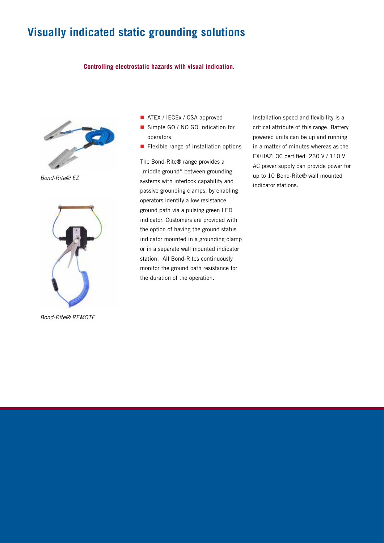# **Visually indicated static grounding solutions**

### **Controlling electrostatic hazards with visual indication.**



*Bond-Rite® EZ*



*Bond-Rite® REMOTE*

- ATEX / IECEx / CSA approved
- Simple GO / NO GO indication for operators
- **Flexible range of installation options**

The Bond-Rite® range provides a "middle ground" between grounding systems with interlock capability and passive grounding clamps, by enabling operators identify a low resistance ground path via a pulsing green LED indicator. Customers are provided with the option of having the ground status indicator mounted in a grounding clamp or in a separate wall mounted indicator station. All Bond-Rites continuously monitor the ground path resistance for the duration of the operation.

Installation speed and flexibility is a critical attribute of this range. Battery powered units can be up and running in a matter of minutes whereas as the EX/HAZLOC certified 230 V / 110 V AC power supply can provide power for up to 10 Bond-Rite® wall mounted indicator stations.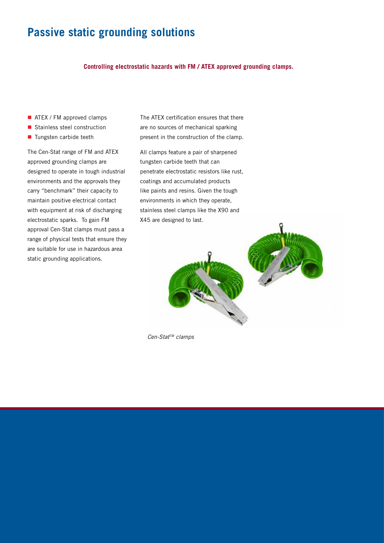### **Passive static grounding solutions**

**Controlling electrostatic hazards with FM / ATEX approved grounding clamps.**

- $\blacksquare$  ATEX / FM approved clamps
- Stainless steel construction
- **Tungsten carbide teeth**

The Cen-Stat range of FM and ATEX approved grounding clamps are designed to operate in tough industrial environments and the approvals they carry "benchmark" their capacity to maintain positive electrical contact with equipment at risk of discharging electrostatic sparks. To gain FM approval Cen-Stat clamps must pass a range of physical tests that ensure they are suitable for use in hazardous area static grounding applications.

The ATEX certification ensures that there are no sources of mechanical sparking present in the construction of the clamp.

All clamps feature a pair of sharpened tungsten carbide teeth that can penetrate electrostatic resistors like rust, coatings and accumulated products like paints and resins. Given the tough environments in which they operate, stainless steel clamps like the X90 and X45 are designed to last.



*Cen-StatTM clamps*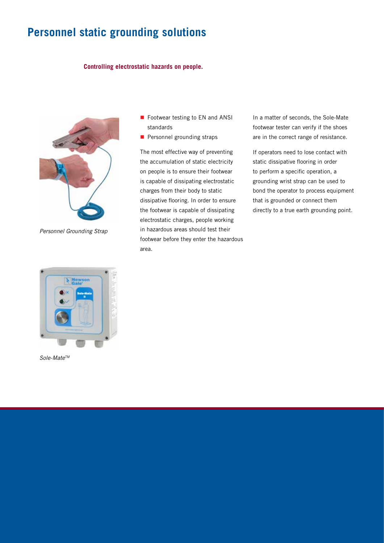### **Personnel static grounding solutions**

### **Controlling electrostatic hazards on people.**



*Personnel Grounding Strap*

- Footwear testing to EN and ANSI standards
- **Personnel grounding straps**

The most effective way of preventing the accumulation of static electricity on people is to ensure their footwear is capable of dissipating electrostatic charges from their body to static dissipative flooring. In order to ensure the footwear is capable of dissipating electrostatic charges, people working in hazardous areas should test their footwear before they enter the hazardous area.

In a matter of seconds, the Sole-Mate footwear tester can verify if the shoes are in the correct range of resistance.

If operators need to lose contact with static dissipative flooring in order to perform a specific operation, a grounding wrist strap can be used to bond the operator to process equipment that is grounded or connect them directly to a true earth grounding point.



*Sole-MateTM*